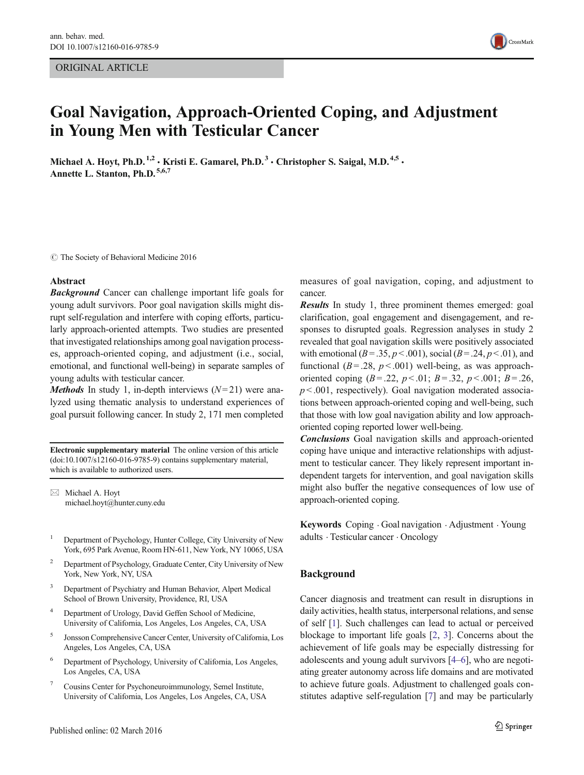ORIGINAL ARTICLE



# Goal Navigation, Approach-Oriented Coping, and Adjustment in Young Men with Testicular Cancer

Michael A. Hoyt, Ph.D.<sup>1,2</sup>  $\cdot$  Kristi E. Gamarel, Ph.D.<sup>3</sup>  $\cdot$  Christopher S. Saigal, M.D.<sup>4,5</sup>  $\cdot$ Annette L. Stanton, Ph.D. 5,6,7

C The Society of Behavioral Medicine 2016

#### Abstract

**Background** Cancer can challenge important life goals for young adult survivors. Poor goal navigation skills might disrupt self-regulation and interfere with coping efforts, particularly approach-oriented attempts. Two studies are presented that investigated relationships among goal navigation processes, approach-oriented coping, and adjustment (i.e., social, emotional, and functional well-being) in separate samples of young adults with testicular cancer.

*Methods* In study 1, in-depth interviews  $(N=21)$  were analyzed using thematic analysis to understand experiences of goal pursuit following cancer. In study 2, 171 men completed

Electronic supplementary material The online version of this article (doi[:10.1007/s12160-016-9785-9](http://dx.doi.org/10.1007/s12160-016-9785-9)) contains supplementary material, which is available to authorized users.

 $\boxtimes$  Michael A. Hoyt michael.hoyt@hunter.cuny.edu

- <sup>1</sup> Department of Psychology, Hunter College, City University of New York, 695 Park Avenue, Room HN-611, New York, NY 10065, USA
- <sup>2</sup> Department of Psychology, Graduate Center, City University of New York, New York, NY, USA
- <sup>3</sup> Department of Psychiatry and Human Behavior, Alpert Medical School of Brown University, Providence, RI, USA
- <sup>4</sup> Department of Urology, David Geffen School of Medicine, University of California, Los Angeles, Los Angeles, CA, USA
- <sup>5</sup> Jonsson Comprehensive Cancer Center, University of California, Los Angeles, Los Angeles, CA, USA
- <sup>6</sup> Department of Psychology, University of California, Los Angeles, Los Angeles, CA, USA
- <sup>7</sup> Cousins Center for Psychoneuroimmunology, Semel Institute, University of California, Los Angeles, Los Angeles, CA, USA

measures of goal navigation, coping, and adjustment to cancer.

Results In study 1, three prominent themes emerged: goal clarification, goal engagement and disengagement, and responses to disrupted goals. Regression analyses in study 2 revealed that goal navigation skills were positively associated with emotional ( $B = .35$ ,  $p < .001$ ), social ( $B = .24$ ,  $p < .01$ ), and functional ( $B = .28$ ,  $p < .001$ ) well-being, as was approachoriented coping  $(B=.22, p<.01; B=.32, p<.001; B=.26,$  $p$  < .001, respectively). Goal navigation moderated associations between approach-oriented coping and well-being, such that those with low goal navigation ability and low approachoriented coping reported lower well-being.

Conclusions Goal navigation skills and approach-oriented coping have unique and interactive relationships with adjustment to testicular cancer. They likely represent important independent targets for intervention, and goal navigation skills might also buffer the negative consequences of low use of approach-oriented coping.

Keywords Coping . Goal navigation . Adjustment . Young adults . Testicular cancer . Oncology

### Background

Cancer diagnosis and treatment can result in disruptions in daily activities, health status, interpersonal relations, and sense of self [\[1](#page-8-0)]. Such challenges can lead to actual or perceived blockage to important life goals [\[2](#page-9-0), [3](#page-9-0)]. Concerns about the achievement of life goals may be especially distressing for adolescents and young adult survivors [\[4](#page-9-0)–[6](#page-9-0)], who are negotiating greater autonomy across life domains and are motivated to achieve future goals. Adjustment to challenged goals constitutes adaptive self-regulation [[7\]](#page-9-0) and may be particularly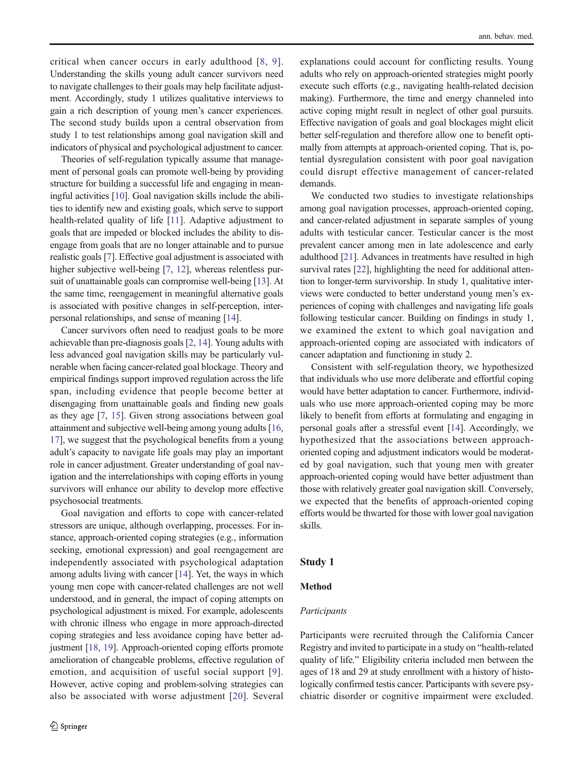critical when cancer occurs in early adulthood [[8,](#page-9-0) [9](#page-9-0)]. Understanding the skills young adult cancer survivors need to navigate challenges to their goals may help facilitate adjustment. Accordingly, study 1 utilizes qualitative interviews to gain a rich description of young men's cancer experiences. The second study builds upon a central observation from study 1 to test relationships among goal navigation skill and indicators of physical and psychological adjustment to cancer.

Theories of self-regulation typically assume that management of personal goals can promote well-being by providing structure for building a successful life and engaging in meaningful activities [\[10\]](#page-9-0). Goal navigation skills include the abilities to identify new and existing goals, which serve to support health-related quality of life [[11\]](#page-9-0). Adaptive adjustment to goals that are impeded or blocked includes the ability to disengage from goals that are no longer attainable and to pursue realistic goals [[7\]](#page-9-0). Effective goal adjustment is associated with higher subjective well-being [\[7](#page-9-0), [12\]](#page-9-0), whereas relentless pursuit of unattainable goals can compromise well-being [[13\]](#page-9-0). At the same time, reengagement in meaningful alternative goals is associated with positive changes in self-perception, interpersonal relationships, and sense of meaning [[14\]](#page-9-0).

Cancer survivors often need to readjust goals to be more achievable than pre-diagnosis goals [\[2](#page-9-0), [14\]](#page-9-0). Young adults with less advanced goal navigation skills may be particularly vulnerable when facing cancer-related goal blockage. Theory and empirical findings support improved regulation across the life span, including evidence that people become better at disengaging from unattainable goals and finding new goals as they age [[7](#page-9-0), [15](#page-9-0)]. Given strong associations between goal attainment and subjective well-being among young adults [[16,](#page-9-0) [17\]](#page-9-0), we suggest that the psychological benefits from a young adult's capacity to navigate life goals may play an important role in cancer adjustment. Greater understanding of goal navigation and the interrelationships with coping efforts in young survivors will enhance our ability to develop more effective psychosocial treatments.

Goal navigation and efforts to cope with cancer-related stressors are unique, although overlapping, processes. For instance, approach-oriented coping strategies (e.g., information seeking, emotional expression) and goal reengagement are independently associated with psychological adaptation among adults living with cancer [[14\]](#page-9-0). Yet, the ways in which young men cope with cancer-related challenges are not well understood, and in general, the impact of coping attempts on psychological adjustment is mixed. For example, adolescents with chronic illness who engage in more approach-directed coping strategies and less avoidance coping have better adjustment [\[18](#page-9-0), [19](#page-9-0)]. Approach-oriented coping efforts promote amelioration of changeable problems, effective regulation of emotion, and acquisition of useful social support [[9\]](#page-9-0). However, active coping and problem-solving strategies can also be associated with worse adjustment [\[20\]](#page-9-0). Several

explanations could account for conflicting results. Young adults who rely on approach-oriented strategies might poorly execute such efforts (e.g., navigating health-related decision making). Furthermore, the time and energy channeled into active coping might result in neglect of other goal pursuits. Effective navigation of goals and goal blockages might elicit better self-regulation and therefore allow one to benefit optimally from attempts at approach-oriented coping. That is, potential dysregulation consistent with poor goal navigation could disrupt effective management of cancer-related demands.

We conducted two studies to investigate relationships among goal navigation processes, approach-oriented coping, and cancer-related adjustment in separate samples of young adults with testicular cancer. Testicular cancer is the most prevalent cancer among men in late adolescence and early adulthood [[21\]](#page-9-0). Advances in treatments have resulted in high survival rates [[22\]](#page-9-0), highlighting the need for additional attention to longer-term survivorship. In study 1, qualitative interviews were conducted to better understand young men's experiences of coping with challenges and navigating life goals following testicular cancer. Building on findings in study 1, we examined the extent to which goal navigation and approach-oriented coping are associated with indicators of cancer adaptation and functioning in study 2.

Consistent with self-regulation theory, we hypothesized that individuals who use more deliberate and effortful coping would have better adaptation to cancer. Furthermore, individuals who use more approach-oriented coping may be more likely to benefit from efforts at formulating and engaging in personal goals after a stressful event [[14](#page-9-0)]. Accordingly, we hypothesized that the associations between approachoriented coping and adjustment indicators would be moderated by goal navigation, such that young men with greater approach-oriented coping would have better adjustment than those with relatively greater goal navigation skill. Conversely, we expected that the benefits of approach-oriented coping efforts would be thwarted for those with lower goal navigation skills.

# Study 1

### Method

### Participants

Participants were recruited through the California Cancer Registry and invited to participate in a study on "health-related quality of life." Eligibility criteria included men between the ages of 18 and 29 at study enrollment with a history of histologically confirmed testis cancer. Participants with severe psychiatric disorder or cognitive impairment were excluded.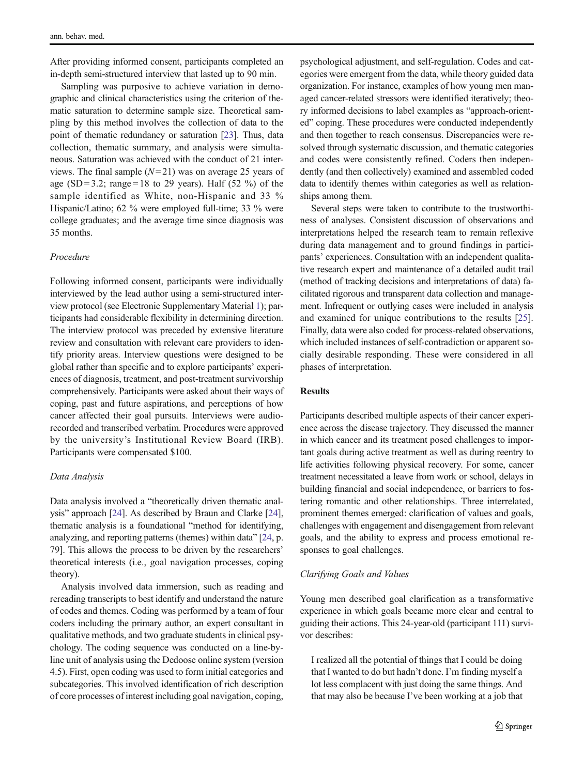After providing informed consent, participants completed an in-depth semi-structured interview that lasted up to 90 min.

Sampling was purposive to achieve variation in demographic and clinical characteristics using the criterion of thematic saturation to determine sample size. Theoretical sampling by this method involves the collection of data to the point of thematic redundancy or saturation [\[23](#page-9-0)]. Thus, data collection, thematic summary, and analysis were simultaneous. Saturation was achieved with the conduct of 21 interviews. The final sample  $(N=21)$  was on average 25 years of age (SD = 3.2; range = 18 to 29 years). Half (52 %) of the sample identified as White, non-Hispanic and 33 % Hispanic/Latino; 62 % were employed full-time; 33 % were college graduates; and the average time since diagnosis was 35 months.

### Procedure

Following informed consent, participants were individually interviewed by the lead author using a semi-structured interview protocol (see Electronic Supplementary Material 1); participants had considerable flexibility in determining direction. The interview protocol was preceded by extensive literature review and consultation with relevant care providers to identify priority areas. Interview questions were designed to be global rather than specific and to explore participants' experiences of diagnosis, treatment, and post-treatment survivorship comprehensively. Participants were asked about their ways of coping, past and future aspirations, and perceptions of how cancer affected their goal pursuits. Interviews were audiorecorded and transcribed verbatim. Procedures were approved by the university's Institutional Review Board (IRB). Participants were compensated \$100.

### Data Analysis

Data analysis involved a "theoretically driven thematic analysis" approach [[24](#page-9-0)]. As described by Braun and Clarke [[24\]](#page-9-0), thematic analysis is a foundational "method for identifying, analyzing, and reporting patterns (themes) within data" [\[24](#page-9-0), p. 79]. This allows the process to be driven by the researchers' theoretical interests (i.e., goal navigation processes, coping theory).

Analysis involved data immersion, such as reading and rereading transcripts to best identify and understand the nature of codes and themes. Coding was performed by a team of four coders including the primary author, an expert consultant in qualitative methods, and two graduate students in clinical psychology. The coding sequence was conducted on a line-byline unit of analysis using the Dedoose online system (version 4.5). First, open coding was used to form initial categories and subcategories. This involved identification of rich description of core processes of interest including goal navigation, coping, psychological adjustment, and self-regulation. Codes and categories were emergent from the data, while theory guided data organization. For instance, examples of how young men managed cancer-related stressors were identified iteratively; theory informed decisions to label examples as "approach-oriented" coping. These procedures were conducted independently and then together to reach consensus. Discrepancies were resolved through systematic discussion, and thematic categories and codes were consistently refined. Coders then independently (and then collectively) examined and assembled coded data to identify themes within categories as well as relationships among them.

Several steps were taken to contribute to the trustworthiness of analyses. Consistent discussion of observations and interpretations helped the research team to remain reflexive during data management and to ground findings in participants' experiences. Consultation with an independent qualitative research expert and maintenance of a detailed audit trail (method of tracking decisions and interpretations of data) facilitated rigorous and transparent data collection and management. Infrequent or outlying cases were included in analysis and examined for unique contributions to the results [[25\]](#page-9-0). Finally, data were also coded for process-related observations, which included instances of self-contradiction or apparent socially desirable responding. These were considered in all phases of interpretation.

# Results

Participants described multiple aspects of their cancer experience across the disease trajectory. They discussed the manner in which cancer and its treatment posed challenges to important goals during active treatment as well as during reentry to life activities following physical recovery. For some, cancer treatment necessitated a leave from work or school, delays in building financial and social independence, or barriers to fostering romantic and other relationships. Three interrelated, prominent themes emerged: clarification of values and goals, challenges with engagement and disengagement from relevant goals, and the ability to express and process emotional responses to goal challenges.

# Clarifying Goals and Values

Young men described goal clarification as a transformative experience in which goals became more clear and central to guiding their actions. This 24-year-old (participant 111) survivor describes:

I realized all the potential of things that I could be doing that I wanted to do but hadn't done. I'm finding myself a lot less complacent with just doing the same things. And that may also be because I've been working at a job that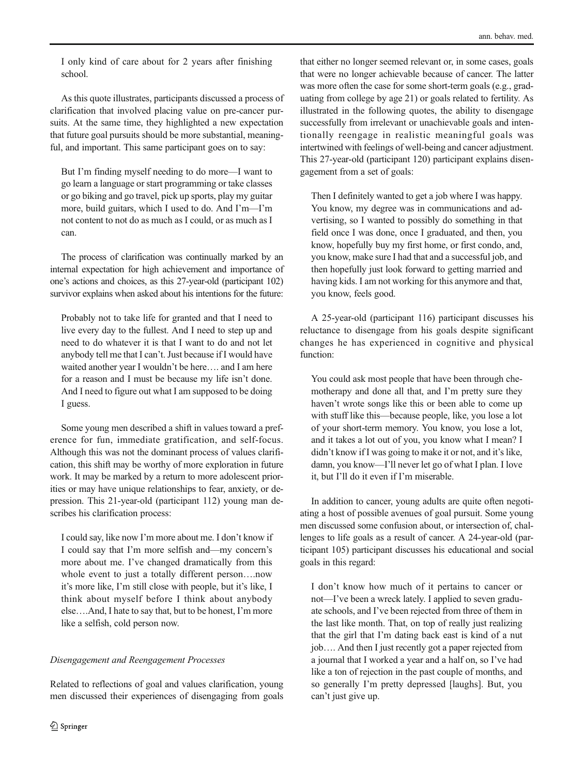I only kind of care about for 2 years after finishing school.

As this quote illustrates, participants discussed a process of clarification that involved placing value on pre-cancer pursuits. At the same time, they highlighted a new expectation that future goal pursuits should be more substantial, meaningful, and important. This same participant goes on to say:

But I'm finding myself needing to do more—I want to go learn a language or start programming or take classes or go biking and go travel, pick up sports, play my guitar more, build guitars, which I used to do. And I'm—I'm not content to not do as much as I could, or as much as I can.

The process of clarification was continually marked by an internal expectation for high achievement and importance of one's actions and choices, as this 27-year-old (participant 102) survivor explains when asked about his intentions for the future:

Probably not to take life for granted and that I need to live every day to the fullest. And I need to step up and need to do whatever it is that I want to do and not let anybody tell me that I can't. Just because if I would have waited another year I wouldn't be here…. and I am here for a reason and I must be because my life isn't done. And I need to figure out what I am supposed to be doing I guess.

Some young men described a shift in values toward a preference for fun, immediate gratification, and self-focus. Although this was not the dominant process of values clarification, this shift may be worthy of more exploration in future work. It may be marked by a return to more adolescent priorities or may have unique relationships to fear, anxiety, or depression. This 21-year-old (participant 112) young man describes his clarification process:

I could say, like now I'm more about me. I don't know if I could say that I'm more selfish and—my concern's more about me. I've changed dramatically from this whole event to just a totally different person….now it's more like, I'm still close with people, but it's like, I think about myself before I think about anybody else….And, I hate to say that, but to be honest, I'm more like a selfish, cold person now.

# Disengagement and Reengagement Processes

Related to reflections of goal and values clarification, young men discussed their experiences of disengaging from goals

that either no longer seemed relevant or, in some cases, goals that were no longer achievable because of cancer. The latter was more often the case for some short-term goals (e.g., graduating from college by age 21) or goals related to fertility. As illustrated in the following quotes, the ability to disengage successfully from irrelevant or unachievable goals and intentionally reengage in realistic meaningful goals was intertwined with feelings of well-being and cancer adjustment. This 27-year-old (participant 120) participant explains disengagement from a set of goals:

Then I definitely wanted to get a job where I was happy. You know, my degree was in communications and advertising, so I wanted to possibly do something in that field once I was done, once I graduated, and then, you know, hopefully buy my first home, or first condo, and, you know, make sure I had that and a successful job, and then hopefully just look forward to getting married and having kids. I am not working for this anymore and that, you know, feels good.

A 25-year-old (participant 116) participant discusses his reluctance to disengage from his goals despite significant changes he has experienced in cognitive and physical function:

You could ask most people that have been through chemotherapy and done all that, and I'm pretty sure they haven't wrote songs like this or been able to come up with stuff like this—because people, like, you lose a lot of your short-term memory. You know, you lose a lot, and it takes a lot out of you, you know what I mean? I didn't know if I was going to make it or not, and it's like, damn, you know—I'll never let go of what I plan. I love it, but I'll do it even if I'm miserable.

In addition to cancer, young adults are quite often negotiating a host of possible avenues of goal pursuit. Some young men discussed some confusion about, or intersection of, challenges to life goals as a result of cancer. A 24-year-old (participant 105) participant discusses his educational and social goals in this regard:

I don't know how much of it pertains to cancer or not—I've been a wreck lately. I applied to seven graduate schools, and I've been rejected from three of them in the last like month. That, on top of really just realizing that the girl that I'm dating back east is kind of a nut job…. And then I just recently got a paper rejected from a journal that I worked a year and a half on, so I've had like a ton of rejection in the past couple of months, and so generally I'm pretty depressed [laughs]. But, you can't just give up.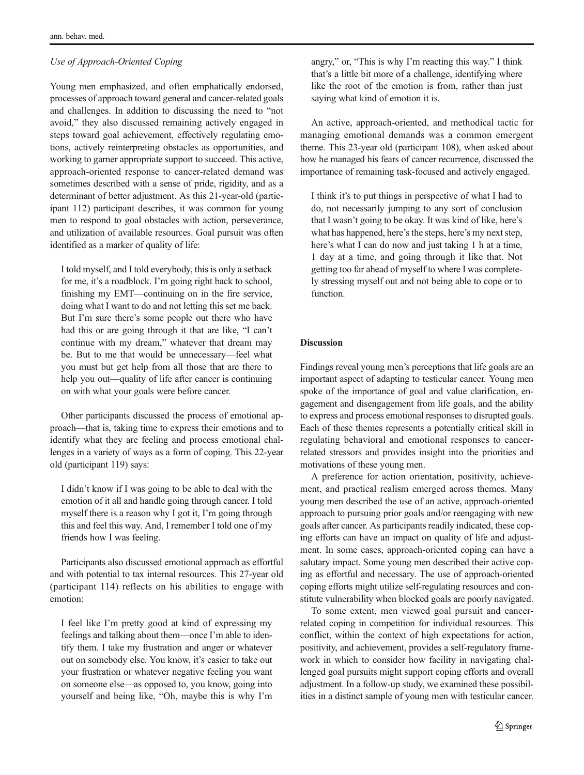# Use of Approach-Oriented Coping

Young men emphasized, and often emphatically endorsed, processes of approach toward general and cancer-related goals and challenges. In addition to discussing the need to "not avoid," they also discussed remaining actively engaged in steps toward goal achievement, effectively regulating emotions, actively reinterpreting obstacles as opportunities, and working to garner appropriate support to succeed. This active, approach-oriented response to cancer-related demand was sometimes described with a sense of pride, rigidity, and as a determinant of better adjustment. As this 21-year-old (participant 112) participant describes, it was common for young men to respond to goal obstacles with action, perseverance, and utilization of available resources. Goal pursuit was often identified as a marker of quality of life:

I told myself, and I told everybody, this is only a setback for me, it's a roadblock. I'm going right back to school, finishing my EMT—continuing on in the fire service, doing what I want to do and not letting this set me back. But I'm sure there's some people out there who have had this or are going through it that are like, "I can't continue with my dream," whatever that dream may be. But to me that would be unnecessary—feel what you must but get help from all those that are there to help you out—quality of life after cancer is continuing on with what your goals were before cancer.

Other participants discussed the process of emotional approach—that is, taking time to express their emotions and to identify what they are feeling and process emotional challenges in a variety of ways as a form of coping. This 22-year old (participant 119) says:

I didn't know if I was going to be able to deal with the emotion of it all and handle going through cancer. I told myself there is a reason why I got it, I'm going through this and feel this way. And, I remember I told one of my friends how I was feeling.

Participants also discussed emotional approach as effortful and with potential to tax internal resources. This 27-year old (participant 114) reflects on his abilities to engage with emotion:

I feel like I'm pretty good at kind of expressing my feelings and talking about them—once I'm able to identify them. I take my frustration and anger or whatever out on somebody else. You know, it's easier to take out your frustration or whatever negative feeling you want on someone else—as opposed to, you know, going into yourself and being like, "Oh, maybe this is why I'm

angry," or, "This is why I'm reacting this way." I think that's a little bit more of a challenge, identifying where like the root of the emotion is from, rather than just saying what kind of emotion it is.

An active, approach-oriented, and methodical tactic for managing emotional demands was a common emergent theme. This 23-year old (participant 108), when asked about how he managed his fears of cancer recurrence, discussed the importance of remaining task-focused and actively engaged.

I think it's to put things in perspective of what I had to do, not necessarily jumping to any sort of conclusion that I wasn't going to be okay. It was kind of like, here's what has happened, here's the steps, here's my next step, here's what I can do now and just taking 1 h at a time, 1 day at a time, and going through it like that. Not getting too far ahead of myself to where I was completely stressing myself out and not being able to cope or to function.

# Discussion

Findings reveal young men's perceptions that life goals are an important aspect of adapting to testicular cancer. Young men spoke of the importance of goal and value clarification, engagement and disengagement from life goals, and the ability to express and process emotional responses to disrupted goals. Each of these themes represents a potentially critical skill in regulating behavioral and emotional responses to cancerrelated stressors and provides insight into the priorities and motivations of these young men.

A preference for action orientation, positivity, achievement, and practical realism emerged across themes. Many young men described the use of an active, approach-oriented approach to pursuing prior goals and/or reengaging with new goals after cancer. As participants readily indicated, these coping efforts can have an impact on quality of life and adjustment. In some cases, approach-oriented coping can have a salutary impact. Some young men described their active coping as effortful and necessary. The use of approach-oriented coping efforts might utilize self-regulating resources and constitute vulnerability when blocked goals are poorly navigated.

To some extent, men viewed goal pursuit and cancerrelated coping in competition for individual resources. This conflict, within the context of high expectations for action, positivity, and achievement, provides a self-regulatory framework in which to consider how facility in navigating challenged goal pursuits might support coping efforts and overall adjustment. In a follow-up study, we examined these possibilities in a distinct sample of young men with testicular cancer.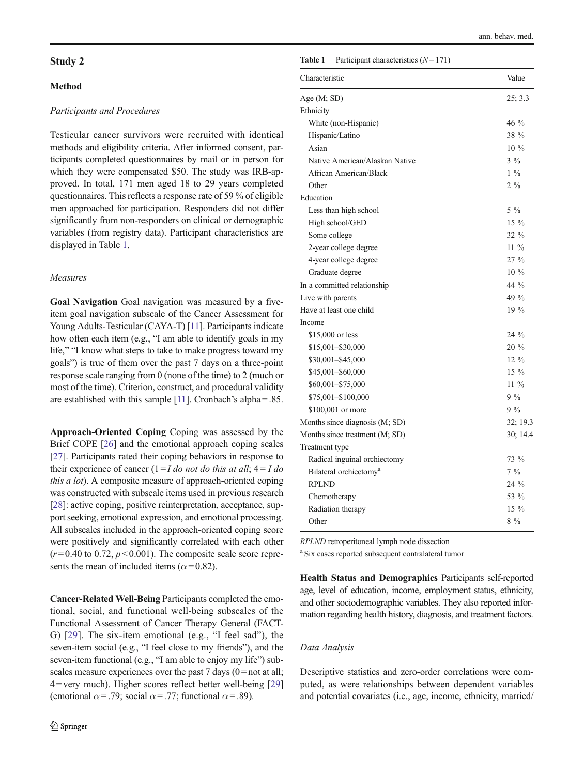# Study 2

# Method

# Participants and Procedures

Testicular cancer survivors were recruited with identical methods and eligibility criteria. After informed consent, participants completed questionnaires by mail or in person for which they were compensated \$50. The study was IRB-approved. In total, 171 men aged 18 to 29 years completed questionnaires. This reflects a response rate of 59 % of eligible men approached for participation. Responders did not differ significantly from non-responders on clinical or demographic variables (from registry data). Participant characteristics are displayed in Table 1.

# Measures

Goal Navigation Goal navigation was measured by a fiveitem goal navigation subscale of the Cancer Assessment for Young Adults-Testicular (CAYA-T) [\[11\]](#page-9-0). Participants indicate how often each item (e.g., "I am able to identify goals in my life," "I know what steps to take to make progress toward my goals") is true of them over the past 7 days on a three-point response scale ranging from 0 (none of the time) to 2 (much or most of the time). Criterion, construct, and procedural validity are established with this sample [\[11\]](#page-9-0). Cronbach's alpha = .85.

Approach-Oriented Coping Coping was assessed by the Brief COPE [[26\]](#page-9-0) and the emotional approach coping scales [\[27\]](#page-9-0). Participants rated their coping behaviors in response to their experience of cancer  $(1 = I \text{ do not do this at all}; 4 = I \text{ do})$ this a lot). A composite measure of approach-oriented coping was constructed with subscale items used in previous research [\[28\]](#page-9-0): active coping, positive reinterpretation, acceptance, support seeking, emotional expression, and emotional processing. All subscales included in the approach-oriented coping score were positively and significantly correlated with each other  $(r=0.40 \text{ to } 0.72, p<0.001)$ . The composite scale score represents the mean of included items ( $\alpha$ =0.82).

Cancer-Related Well-Being Participants completed the emotional, social, and functional well-being subscales of the Functional Assessment of Cancer Therapy General (FACT-G) [[29](#page-9-0)]. The six-item emotional (e.g., "I feel sad"), the seven-item social (e.g., "I feel close to my friends"), and the seven-item functional (e.g., "I am able to enjoy my life") subscales measure experiences over the past 7 days  $(0 = not at all;$  $4 =$ very much). Higher scores reflect better well-being [\[29\]](#page-9-0) (emotional  $\alpha$  = .79; social  $\alpha$  = .77; functional  $\alpha$  = .89).

#### **Table 1** Participant characteristics  $(N=171)$

| Characteristic                     | Value          |
|------------------------------------|----------------|
| Age (M; SD)                        | 25; 3.3        |
| Ethnicity                          |                |
| White (non-Hispanic)               | 46 %           |
| Hispanic/Latino                    | 38 %           |
| Asian                              | $10\%$         |
| Native American/Alaskan Native     | $3\%$          |
| African American/Black             | $1\%$          |
| Other                              | $2\frac{9}{6}$ |
| Education                          |                |
| Less than high school              | $5\%$          |
| High school/GED                    | $15\%$         |
| Some college                       | $32\%$         |
| 2-year college degree              | $11\%$         |
| 4-year college degree              | $27\%$         |
| Graduate degree                    | 10 %           |
| In a committed relationship        | 44 %           |
| Live with parents                  | 49 %           |
| Have at least one child            | 19 %           |
| Income                             |                |
| \$15,000 or less                   | 24 %           |
| \$15,001-\$30,000                  | $20\%$         |
| \$30,001-\$45,000                  | $12\%$         |
| \$45,001-\$60,000                  | $15\%$         |
| \$60,001-\$75,000                  | $11\%$         |
| \$75,001-\$100,000                 | $9\%$          |
| \$100,001 or more                  | $9\%$          |
| Months since diagnosis (M; SD)     | 32; 19.3       |
| Months since treatment (M; SD)     | 30; 14.4       |
| Treatment type                     |                |
| Radical inguinal orchiectomy       | 73 %           |
| Bilateral orchiectomy <sup>a</sup> | $7\%$          |
| <b>RPLND</b>                       | $24\%$         |
| Chemotherapy                       | 53 %           |
| Radiation therapy                  | $15\%$         |
| Other                              | $8\%$          |

RPLND retroperitoneal lymph node dissection

<sup>a</sup> Six cases reported subsequent contralateral tumor

Health Status and Demographics Participants self-reported age, level of education, income, employment status, ethnicity, and other sociodemographic variables. They also reported information regarding health history, diagnosis, and treatment factors.

### Data Analysis

Descriptive statistics and zero-order correlations were computed, as were relationships between dependent variables and potential covariates (i.e., age, income, ethnicity, married/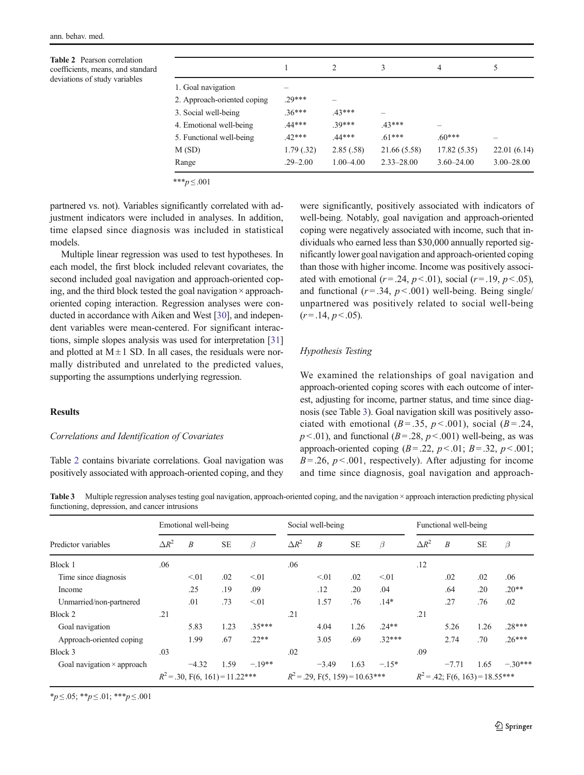<span id="page-6-0"></span>Table 2 Pearson correlation coefficients, means, and standard deviations of study variables

|                             |              | $\mathcal{D}_{\mathcal{L}}$ | 3              | 4              | 5              |  |
|-----------------------------|--------------|-----------------------------|----------------|----------------|----------------|--|
| 1. Goal navigation          |              |                             |                |                |                |  |
| 2. Approach-oriented coping | 29***        |                             |                |                |                |  |
| 3. Social well-being        | $.36***$     | $.43***$                    |                |                |                |  |
| 4. Emotional well-being     | $.44***$     | 39***                       | $.43***$       |                |                |  |
| 5. Functional well-being    | $.42***$     | 44***                       | $.61***$       | $.60***$       |                |  |
| M (SD)                      | 1.79(.32)    | 2.85(.58)                   | 21.66 (5.58)   | 17.82(5.35)    | 22.01(6.14)    |  |
| Range                       | $.29 - 2.00$ | $1.00 - 4.00$               | $2.33 - 28.00$ | $3.60 - 24.00$ | $3.00 - 28.00$ |  |
|                             |              |                             |                |                |                |  |

\*\*\* $p \le 0.001$ 

partnered vs. not). Variables significantly correlated with adjustment indicators were included in analyses. In addition, time elapsed since diagnosis was included in statistical models.

Multiple linear regression was used to test hypotheses. In each model, the first block included relevant covariates, the second included goal navigation and approach-oriented coping, and the third block tested the goal navigation  $\times$  approachoriented coping interaction. Regression analyses were conducted in accordance with Aiken and West [\[30\]](#page-9-0), and independent variables were mean-centered. For significant interactions, simple slopes analysis was used for interpretation [\[31\]](#page-9-0) and plotted at  $M \pm 1$  SD. In all cases, the residuals were normally distributed and unrelated to the predicted values, supporting the assumptions underlying regression.

# **Results**

#### Correlations and Identification of Covariates

Table 2 contains bivariate correlations. Goal navigation was positively associated with approach-oriented coping, and they

were significantly, positively associated with indicators of well-being. Notably, goal navigation and approach-oriented coping were negatively associated with income, such that individuals who earned less than \$30,000 annually reported significantly lower goal navigation and approach-oriented coping than those with higher income. Income was positively associated with emotional  $(r = .24, p < .01)$ , social  $(r = .19, p < .05)$ . and functional  $(r=.34, p<.001)$  well-being. Being single/ unpartnered was positively related to social well-being  $(r = .14, p < .05)$ .

## Hypothesis Testing

We examined the relationships of goal navigation and approach-oriented coping scores with each outcome of interest, adjusting for income, partner status, and time since diagnosis (see Table 3). Goal navigation skill was positively associated with emotional ( $B = .35$ ,  $p < .001$ ), social ( $B = .24$ ,  $p < .01$ ), and functional ( $B = .28$ ,  $p < .001$ ) well-being, as was approach-oriented coping  $(B=.22, p<.01; B=.32, p<.001;$  $B = 0.26$ ,  $p < 0.001$ , respectively). After adjusting for income and time since diagnosis, goal navigation and approach-

Table 3 Multiple regression analyses testing goal navigation, approach-oriented coping, and the navigation × approach interaction predicting physical functioning, depression, and cancer intrusions

| Predictor variables               | Emotional well-being              |                  |           |          | Social well-being                 |                  |           |                                   | Functional well-being |                  |           |           |
|-----------------------------------|-----------------------------------|------------------|-----------|----------|-----------------------------------|------------------|-----------|-----------------------------------|-----------------------|------------------|-----------|-----------|
|                                   | $\Delta R^2$                      | $\boldsymbol{B}$ | <b>SE</b> | $\beta$  | $\Delta R^2$                      | $\boldsymbol{B}$ | <b>SE</b> | $\beta$                           | $\Delta R^2$          | $\boldsymbol{B}$ | <b>SE</b> | $\beta$   |
| Block 1                           | .06                               |                  |           |          | .06                               |                  |           |                                   | .12                   |                  |           |           |
| Time since diagnosis              |                                   | < 01             | .02       | < 01     |                                   | < 01             | .02       | < 01                              |                       | .02              | .02       | .06       |
| Income                            |                                   | .25              | .19       | .09      |                                   | .12              | .20       | .04                               |                       | .64              | .20       | $.20**$   |
| Unmarried/non-partnered           |                                   | .01              | .73       | < 01     |                                   | 1.57             | .76       | $.14*$                            |                       | .27              | .76       | .02       |
| Block 2                           | .21                               |                  |           |          | .21                               |                  |           |                                   | .21                   |                  |           |           |
| Goal navigation                   |                                   | 5.83             | 1.23      | $.35***$ |                                   | 4.04             | 1.26      | $.24**$                           |                       | 5.26             | 1.26      | $.28***$  |
| Approach-oriented coping          |                                   | 1.99             | .67       | $.22**$  |                                   | 3.05             | .69       | $.32***$                          |                       | 2.74             | .70       | $.26***$  |
| Block 3                           | .03                               |                  |           |          | .02                               |                  |           |                                   | .09                   |                  |           |           |
| Goal navigation $\times$ approach |                                   | $-4.32$          | 1.59      | $-.19**$ |                                   | $-3.49$          | 1.63      | $-.15*$                           |                       | $-7.71$          | 1.65      | $-.30***$ |
|                                   | $R^2$ = .30, F(6, 161) = 11.22*** |                  |           |          | $R^2$ = .29, F(5, 159) = 10.63*** |                  |           | $R^2$ = .42; F(6, 163) = 18.55*** |                       |                  |           |           |

 $**p* ≤ .05; ***p* ≤ .01; ****p* ≤ .001$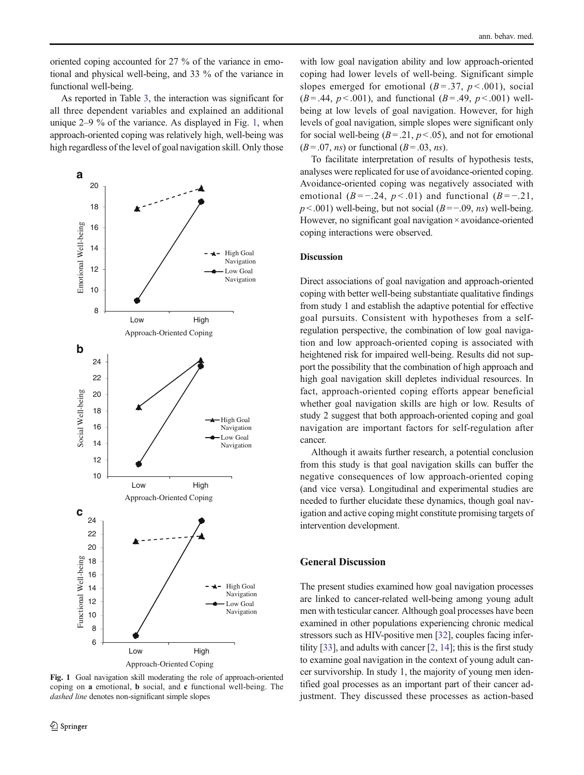oriented coping accounted for 27 % of the variance in emotional and physical well-being, and 33 % of the variance in functional well-being.

As reported in Table [3](#page-6-0), the interaction was significant for all three dependent variables and explained an additional unique 2–9 % of the variance. As displayed in Fig. 1, when approach-oriented coping was relatively high, well-being was high regardless of the level of goal navigation skill. Only those



with low goal navigation ability and low approach-oriented coping had lower levels of well-being. Significant simple slopes emerged for emotional  $(B=.37, p < .001)$ , social  $(B = .44, p < .001)$ , and functional  $(B = .49, p < .001)$  wellbeing at low levels of goal navigation. However, for high levels of goal navigation, simple slopes were significant only for social well-being  $(B=.21, p<.05)$ , and not for emotional  $(B=.07, ns)$  or functional  $(B=.03, ns)$ .

To facilitate interpretation of results of hypothesis tests, analyses were replicated for use of avoidance-oriented coping. Avoidance-oriented coping was negatively associated with emotional  $(B = -0.24, p < 0.01)$  and functional  $(B = -0.21, p < 0.01)$  $p$  < .001) well-being, but not social ( $B = -.09$ , ns) well-being. However, no significant goal navigation × avoidance-oriented coping interactions were observed.

# Discussion

Direct associations of goal navigation and approach-oriented coping with better well-being substantiate qualitative findings from study 1 and establish the adaptive potential for effective goal pursuits. Consistent with hypotheses from a selfregulation perspective, the combination of low goal navigation and low approach-oriented coping is associated with heightened risk for impaired well-being. Results did not support the possibility that the combination of high approach and high goal navigation skill depletes individual resources. In fact, approach-oriented coping efforts appear beneficial whether goal navigation skills are high or low. Results of study 2 suggest that both approach-oriented coping and goal navigation are important factors for self-regulation after cancer.

Although it awaits further research, a potential conclusion from this study is that goal navigation skills can buffer the negative consequences of low approach-oriented coping (and vice versa). Longitudinal and experimental studies are needed to further elucidate these dynamics, though goal navigation and active coping might constitute promising targets of intervention development.

# General Discussion

The present studies examined how goal navigation processes are linked to cancer-related well-being among young adult men with testicular cancer. Although goal processes have been examined in other populations experiencing chronic medical stressors such as HIV-positive men [\[32\]](#page-9-0), couples facing infertility [[33](#page-9-0)], and adults with cancer [\[2,](#page-9-0) [14](#page-9-0)]; this is the first study to examine goal navigation in the context of young adult cancer survivorship. In study 1, the majority of young men identified goal processes as an important part of their cancer adjustment. They discussed these processes as action-based

Fig. 1 Goal navigation skill moderating the role of approach-oriented coping on a emotional, b social, and c functional well-being. The dashed line denotes non-significant simple slopes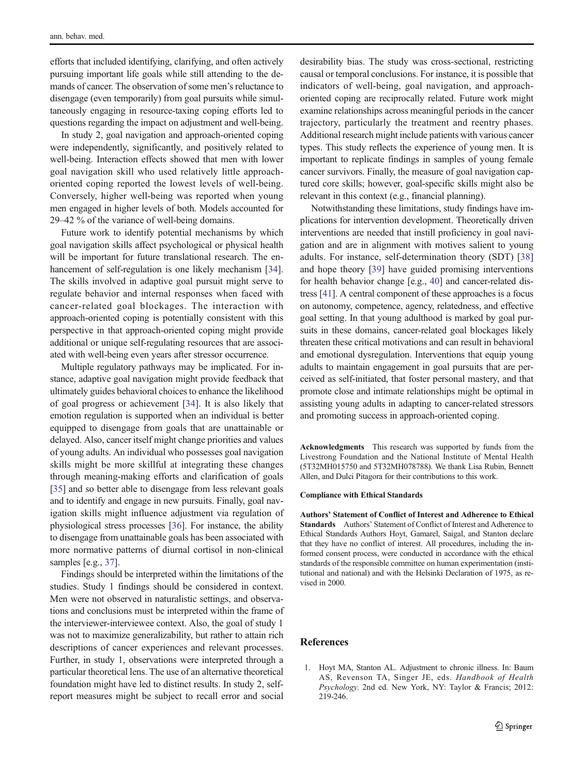<span id="page-8-0"></span>efforts that included identifying, clarifying, and often actively pursuing important life goals while still attending to the demands of cancer. The observation of some men's reluctance to disengage (even temporarily) from goal pursuits while simultaneously engaging in resource-taxing coping efforts led to questions regarding the impact on adjustment and well-being.

In study 2, goal navigation and approach-oriented coping were independently, significantly, and positively related to well-being. Interaction effects showed that men with lower goal navigation skill who used relatively little approachoriented coping reported the lowest levels of well-being. Conversely, higher well-being was reported when young men engaged in higher levels of both. Models accounted for 29–42 % of the variance of well-being domains.

Future work to identify potential mechanisms by which goal navigation skills affect psychological or physical health will be important for future translational research. The en-hancement of self-regulation is one likely mechanism [[34](#page-9-0)]. The skills involved in adaptive goal pursuit might serve to regulate behavior and internal responses when faced with cancer-related goal blockages. The interaction with approach-oriented coping is potentially consistent with this perspective in that approach-oriented coping might provide additional or unique self-regulating resources that are associated with well-being even years after stressor occurrence.

Multiple regulatory pathways may be implicated. For instance, adaptive goal navigation might provide feedback that ultimately guides behavioral choices to enhance the likelihood of goal progress or achievement [\[34](#page-9-0)]. It is also likely that emotion regulation is supported when an individual is better equipped to disengage from goals that are unattainable or delayed. Also, cancer itself might change priorities and values of young adults. An individual who possesses goal navigation skills might be more skillful at integrating these changes through meaning-making efforts and clarification of goals [\[35\]](#page-9-0) and so better able to disengage from less relevant goals and to identify and engage in new pursuits. Finally, goal navigation skills might influence adjustment via regulation of physiological stress processes [\[36](#page-9-0)]. For instance, the ability to disengage from unattainable goals has been associated with more normative patterns of diurnal cortisol in non-clinical samples [e.g., [37\]](#page-9-0).

Findings should be interpreted within the limitations of the studies. Study 1 findings should be considered in context. Men were not observed in naturalistic settings, and observations and conclusions must be interpreted within the frame of the interviewer-interviewee context. Also, the goal of study 1 was not to maximize generalizability, but rather to attain rich descriptions of cancer experiences and relevant processes. Further, in study 1, observations were interpreted through a particular theoretical lens. The use of an alternative theoretical foundation might have led to distinct results. In study 2, selfreport measures might be subject to recall error and social

desirability bias. The study was cross-sectional, restricting causal or temporal conclusions. For instance, it is possible that indicators of well-being, goal navigation, and approachoriented coping are reciprocally related. Future work might examine relationships across meaningful periods in the cancer trajectory, particularly the treatment and reentry phases. Additional research might include patients with various cancer types. This study reflects the experience of young men. It is important to replicate findings in samples of young female cancer survivors. Finally, the measure of goal navigation captured core skills; however, goal-specific skills might also be relevant in this context (e.g., financial planning).

Notwithstanding these limitations, study findings have implications for intervention development. Theoretically driven interventions are needed that instill proficiency in goal navigation and are in alignment with motives salient to young adults. For instance, self-determination theory (SDT) [[38](#page-9-0)] and hope theory [\[39](#page-9-0)] have guided promising interventions for health behavior change [e.g., [40](#page-9-0)] and cancer-related distress [\[41\]](#page-9-0). A central component of these approaches is a focus on autonomy, competence, agency, relatedness, and effective goal setting. In that young adulthood is marked by goal pursuits in these domains, cancer-related goal blockages likely threaten these critical motivations and can result in behavioral and emotional dysregulation. Interventions that equip young adults to maintain engagement in goal pursuits that are perceived as self-initiated, that foster personal mastery, and that promote close and intimate relationships might be optimal in assisting young adults in adapting to cancer-related stressors and promoting success in approach-oriented coping.

Acknowledgments This research was supported by funds from the Livestrong Foundation and the National Institute of Mental Health (5T32MH015750 and 5T32MH078788). We thank Lisa Rubin, Bennett Allen, and Dulci Pitagora for their contributions to this work.

#### Compliance with Ethical Standards

Authors' Statement of Conflict of Interest and Adherence to Ethical Standards Authors' Statement of Conflict of Interest and Adherence to Ethical Standards Authors Hoyt, Gamarel, Saigal, and Stanton declare that they have no conflict of interest. All procedures, including the informed consent process, were conducted in accordance with the ethical standards of the responsible committee on human experimentation (institutional and national) and with the Helsinki Declaration of 1975, as revised in 2000.

#### References

1. Hoyt MA, Stanton AL. Adjustment to chronic illness. In: Baum AS, Revenson TA, Singer JE, eds. Handbook of Health Psychology. 2nd ed. New York, NY: Taylor & Francis; 2012: 219-246.